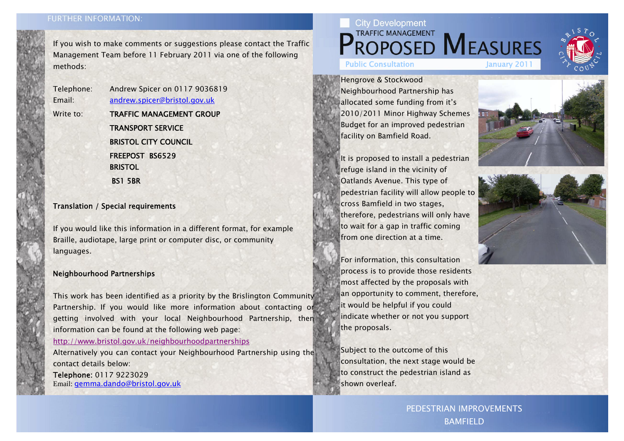## **FURTHER INFORMATION:**

If you wish to make comments or suggestions please contact the Traffic Management Team before 11 February 2011 via one of the following methods:

Write to: **TRAFFIC MANAGEMENT GROUP** TRANSPORT SERVICE **BRISTOL CITY COUNCIL** FREEPOST BS6529**BRISTOL** BS1 5BR

Telephone: Andrew Spicer on 0117 9036819 Email: andrew.spicer@bristol.gov.uk

## Translation / Special requirements

If you would like this information in a different format, for example Braille, audiotape, large print or computer disc, or community languages.

## Neighbourhood Partnerships

This work has been identified as a priority by the Brislington Community Partnership. If you would like more information about contacting or getting involved with your local Neighbourhood Partnership, then information can be found at the following web page:

http://www.bristol.gov.uk/neighbourhoodpartnerships

Alternatively you can contact your Neighbourhood Partnership using the contact details below:

Telephone: 0117 9223029 Email: gemma.dando@bristol.gov.uk

Hengrove & Stockwood Neighbourhood Partnership has allocated some funding from it's 2010/2011 Minor Highway Schemes Budget for an improved pedestrian facility on Bamfield Road.

It is proposed to install a pedestrian refuge island in the vicinity of Oatlands Avenue. This type of pedestrian facility will allow people to cross Bamfield in two stages, therefore, pedestrians will only have to wait for a gap in traffic coming from one direction at a time.

For information, this consultation process is to provide those residents most affected by the proposals with an opportunity to comment, therefore, it would be helpful if you could indicate whether or not you support the proposals.

Subject to the outcome of this consultation, the next stage would be to construct the pedestrian island as shown overleaf.

> PEDESTRIAN IMPROVEMENTS BAMFIELD